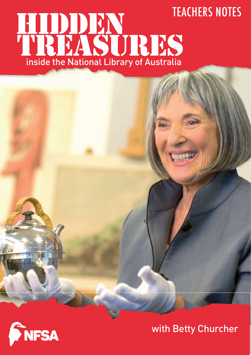# Teachers Notes





**DE** 

with Betty Churcher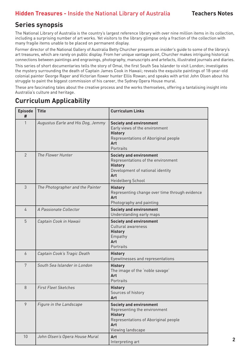# **Series synopsis**

The National Library of Australia is the country's largest reference library with over nine million items in its collection, including a surprising number of art works. Yet visitors to the library glimpse only a fraction of the collection with many fragile items unable to be placed on permanent display.

Former director of the National Gallery of Australia Betty Churcher presents an insider's guide to some of the library's art treasures, which are rarely on public display. From her unique vantage point, Churcher makes intriguing historical connections between paintings and engravings, photography, manuscripts and artefacts, illustrated journals and diaries.

This series of short documentaries tells the story of Omai, the first South Sea Islander to visit London; investigates the mystery surrounding the death of Captain James Cook in Hawaii; reveals the exquisite paintings of 18-year-old colonial painter George Raper and Victorian flower hunter Ellis Rowan; and speaks with artist John Olsen about his struggle to paint the biggest commission of his career, the Sydney Opera House mural.

These are fascinating tales about the creative process and the works themselves, offering a tantalising insight into Australia's culture and heritage.

# **Curriculum Applicability**

| <b>Episode</b><br># | <b>Title</b>                      | <b>Curriculum Links</b>                                                                                                                                |
|---------------------|-----------------------------------|--------------------------------------------------------------------------------------------------------------------------------------------------------|
| 1                   | Augustus Earle and His Dog, Jemmy | <b>Society and environment</b><br>Early views of the environment<br><b>History</b><br>Representations of Aboriginal people<br>Art<br>Portraits         |
| $\overline{2}$      | The Flower Hunter                 | <b>Society and environment</b><br>Representations of the environment<br><b>History</b><br>Development of national identity<br>Art<br>Heidelberg School |
| 3                   | The Photographer and the Painter  | <b>History</b><br>Representing change over time through evidence<br>Art<br>Photography and painting                                                    |
| 4                   | A Passionate Collector            | <b>Society and environment</b><br>Understanding early maps                                                                                             |
| 5                   | Captain Cook in Hawaii            | <b>Society and environment</b><br>Cultural awareness<br><b>History</b><br>Empathy<br>Art<br>Portraits                                                  |
| 6                   | Captain Cook's Tragic Death       | <b>History</b><br>Eyewitnesses and representations                                                                                                     |
| 7                   | South Sea Islander in London      | <b>History</b><br>The image of the 'noble savage'<br>Art<br>Portraits                                                                                  |
| 8                   | <b>First Fleet Sketches</b>       | <b>History</b><br>Sources of history<br>Art                                                                                                            |
| 9                   | Figure in the Landscape           | <b>Society and environment</b><br>Representing the environment<br><b>History</b><br>Representations of Aboriginal people<br>Art<br>Viewing landscape   |
| 10                  | John Olsen's Opera House Mural    | Art<br>Interpreting art                                                                                                                                |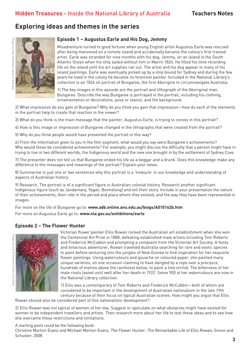# **Exploring ideas and themes in the series**



#### **Episode 1 – Augustus Earle and His Dog, Jemmy**

Misadventure turned to good fortune when young English artist Augustus Earle was rescued after being marooned on a remote island and accidentally became the colony's first trained artist. Earle was stranded for nine months with his dog, Jemmy, on an island in the South Atlantic Ocean when his ship sailed without him in March 1824. He filled his time recording life on the island until his art supplies ran out. The artist and his dog appear in many of his island paintings. Earle was eventually picked up by a ship bound for Sydney and during the few years he lived in the colony he became its foremost painter. Included in the National Library's collection is an 1826 oil portrait of Bungaree, the first Aborigine to circumnavigate Australia.

1) The key images in this episode are the portrait and lithograph of the Aboriginal man, Bungaree. Describe the way Bungaree is portrayed in the portrait, including his clothing, ornamentation or decorations, pose or stance, and the background.

2) What impression do you gain of Bungaree? Why do you think you gain that impression—how do each of the elements in the portrait help to create that reaction in the viewer?

3) What do you think is the main message that the painter, Augustus Earle, is trying to convey in this portrait?

4) How is this image or impression of Bungaree changed in the lithographs that were created from the portrait?

5) Why do you think people would have presented the portrait in this way?

6) From the information given to you in the film segment, what would you say were Bungaree's achievements? Why would these be considered achievements? For example, you might discuss the difficulty that a person might have in trying to live in two different worlds, the Indigenous world and the new one brought in by the settlement of Sydney Cove.

7) The presenter does not tell us that Bungaree ended his life as a beggar and a drunk. Does this knowledge make any difference to the messages and meanings of the portrait? Explain your views.

8) Summarise in just one or two sentences why this portrait is a 'treasure' in our knowledge and understanding of aspects of Australian history.

9) Research. The portrait is of a significant figure in Australian colonial history. Research another significant Indigenous figure (such as Jandamara, Yagan, Bennelong) and tell their story. Include in your presentation the nature of their achievements, their role in the period and place where they existed, and the way they have been represented in images.

For more on the life of Bungaree go to: **[www.adb.online.anu.edu.au/biogs/A010162b.htm](http://www.adb.online.anu.edu.au/biogs/A010162b.htm)** For more on Augustus Earle go to: **[www.nla.gov.au/exhibitions/earle](http://www.nla.gov.au/exhibitions/earle )**

#### **Episode 2 – The Flower Hunter**



Victorian flower painter Ellis Rowan rocked the Australian art establishment when she won the Centennial Art Prize in 1888, defeating established male artists including Tom Roberts and Frederick McCubbin and prompting a complaint from the Victorian Art Society. A feisty and tenacious adventurer, Rowan travelled Australia searching for rare and exotic species to paint before venturing into the jungles of New Guinea to find inspiration for her exquisite flower paintings. Using watercolours and gouache on coloured paper, she painted many unique varieties, on one occasion claiming to have dangled by a rope over a precipice, hundreds of metres above the rainforest below, to paint a tree orchid. The bitterness of her male rivals lasted until well after her death in 1922. Some 900 of her watercolours are now in the National Library collection.

1) Ellis was a contemporary of Tom Roberts and Frederick McCubbin—both of whom are considered to be important in the development of Australian nationalism in the late 19th century because of their focus on typical Australian scenes. How might you argue that Ellis

Rowan should also be considered part of this nationalistic development?

2) Ellis Rowan was not typical of women of her day. Suggest or speculate on what obstacles might have existed for women to be independent travellers and artists. Then research more about her life to test these ideas and to see how she overcame these restrictions and limitations.

#### A starting point could be the following book:

Christine Morton-Evans and Michael Morton-Evans, The Flower Hunter: The Remarkable Life of Ellis Rowan, Simon and Schuster, 2008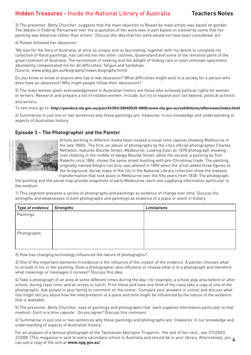3) The presenter, Betty Churcher, suggests that the main objection to Rowan by male artists was based on gender. The debate in Federal Parliament over the acquisition of her work was in part based on a belief by some that her painting was botanical rather than artistic. Discuss the idea that her work would not have been considered 'art'.

4) Rowan followed her obsession:

'My love for the flora of Australia, at once so unique and so fascinating, together with my desire to complete my collection of floral paintings, has carried me into other colonies, Queensland and some of the remotest parts of the great continent of Australia. The excitement of seeking and the delight of finding rare or even unknown specimens abundantly compensated me for all difficulties, fatigue and hardships.' (Source: www.anbg.gov.au/biography/rowan.biography.html)

Do you know or know of anyone who has a real obsession? What difficulties might exist in a society for a person who does have an obsession? Why might people follow their obsessions?

5) The main women given acknowledgement in Australian history are those who achieved political rights for women or writers. Research and prepare a list of notable women. Include, but try to expand your list beyond, political activists and writers.

To see more go to: **[http://pandora.nla.gov.au/pan/44384/20040920-0000/www.nla](http://www.nla.gov.au/exhibitions/ellisrowan/the_collection.html).gov.au/exhibitions/ellisrowan/index.html**

6) Summarise in just one or two sentences why these paintings are 'treasures' in our knowledge and understanding of aspects of Australian history.

#### **Episode 3 – The Photographer and the Painter**



Artists working in different media have created a visual time capsule showing Melbourne in the late 1800s. The first, an album of photographs by the city's official photographer Charles Nettleton, features Bourke Street, Melbourne, Looking East, an 1878 photograph showing men chatting in the middle of sleepy Bourke Street, while the second, a painting by Tom Roberts circa 1886, shows the same street bustling with pre-Christmas trade. The painting, originally named Allegro con brio, was altered in 1890 when the artist added three figures to the foreground. Aerial maps of the city in the National Library collection show the massive

transformation that took place in Melbourne over the fifty years from 1838. The photograph, the painting and the aerial map provide snapshots of early Melbourne, each one supplying information particular to the medium.

1) This segment presents a variety of photographs and paintings as evidence of change over time. Discuss the strengths and weaknesses of both photographs and paintings as evidence of a place or event in history.

| Type of evidence | Strengths | <b>Limitations</b> |
|------------------|-----------|--------------------|
| <b>Paintings</b> |           |                    |
|                  |           |                    |
|                  |           |                    |
| Photographs      |           |                    |
|                  |           |                    |
|                  |           |                    |

2) How has changing technology influenced the nature of photographs?

3) One of the important elements in evidence is the influence of the creator of the evidence. A painter chooses what to include in his or her painting. Does a photographer also influence or choose what is in a photograph and therefore what meanings or messages it conveys? Discuss this idea.

4) Take a photograph of an area at some different times during the day—for example, a school play area before or after school, during class time, and at recess or lunch. Print these and have one third of the class take a copy of one of the photographs. Ask people in your family to comment on the scene. Compare your answers in school and discuss what this might tell you about how the interpretation of a place and time might be influenced by the nature of the evidence that is available.

5) The presenter, Betty Churcher, says of paintings and photographs that 'each supplies information particular to that medium. Each is a time capsule'. Do you agree? Discuss this comment.

6) Summarise in just one or two sentences why these paintings and photographs are 'treasures' in our knowledge and understanding of aspects of Australian history.

2/2008. (This magazine is sent to every secondary school in Australia and should be in your library. Alternatively, you  $\zeta$ For an analysis of a famous photograph of the Tasmanian Aborigine Truganini, 'the last of her race', see STUDIES can see a copy of the unit at **[www.npg.gov.au](http://www.npg.gov.au)**)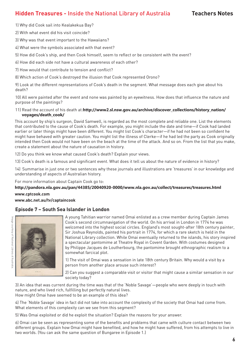1) Why did Cook sail into Kealakekua Bay?

2) With what event did his visit coincide?

3) Why was that event important to the Hawaiians?

4) What were the symbols associated with that event?

5) How did Cook's ship, and then Cook himself, seem to reflect or be consistent with the event?

6) How did each side not have a cultural awareness of each other?

7) How would that contribute to tension and conflict?

8) Which action of Cook's destroyed the illusion that Cook represented Orono?

9) Look at the different representations of Cook's death in the segment. What message does each give about his death?

10) All were painted after the event and none was painted by an eyewitness. How does that influence the nature and purpose of the paintings?

#### 11) Read the account of his death at:**[http://www2.sl.nsw.gov.au/archive/discover\\_coll](http://www.geocities.com/TheTropics/7557/3death.html)ections/history\_nation/ voyages/death\_cook/**

This account by ship's surgeon, David Samwell, is regarded as the most complete and reliable one. List the elements that contributed to the cause of Cook's death. For example, you might include the date and time—if Cook had landed earlier or later things might have been different. You might list Cook's character—if he had not been so confident he might have behaved with greater caution. You might list the illness of Clerke—if he had led the party as Cook originally intended then Cook would not have been on the beach at the time of the attack. And so on. From the list that you make, create a statement about the nature of causation in history.

12) Do you think we know what caused Cook's death? Explain your views.

13) Cook's death is a famous and significant event. What does it tell us about the nature of evidence in history?

14) Summarise in just one or two sentences why these journals and illustrations are 'treasures' in our knowledge and understanding of aspects of Australian history.

[For more information about Captain Cook go to:](http://www.nla.gov.au/collect/treasures/mar_treasure.html)

#### **[http://pandora.nla](http://www.cptcook.com).gov.au/pan/44385/20040920-0000/www.nla.gov.au/collect/treasures/treasures.html**

**[www.cptcook.com](http://www.abc.net.au/tv/captaincook)**

**www.abc.net.au/tv/captaincook**

#### **Episode 7 – South Sea Islander in London**



**OWAY** 

A young Tahitian warrior named Omai enlisted as a crew member during Captain James Cook's second circumnavigation of the world. On his arrival in London in 1774 he was welcomed into the highest social circles. England's most sought-after 18th century painter, Sir Joshua Reynolds, painted his portrait in 1774, for which a rare sketch is held in the National Library collection. While Omai eventually returned to the islands, his story inspired a spectacular pantomime at Theatre Royal in Covent Garden. With costumes designed by Philippe Jacques de Loutherbourg, the pantomime brought ethnographic realism to a somewhat farcical plot.

1) The visit of Omai was a sensation in late 18th century Britain. Why would a visit by a person from another place arouse such interest?

2) Can you suggest a comparable visit or visitor that might cause a similar sensation in our society today?

3) An idea that was current during the time was that of the 'Noble Savage'—people who were deeply in touch with nature, and who lived rich, fulfilling but perfectly natural lives. How might Omai have seemed to be an example of this idea?

4) The 'Noble Savage' idea in fact did not take into account the complexity of the society that Omai had come from. What elements of this complexity can we see from this segment?

5) Was Omai exploited or did he exploit the situation? Explain the reasons for your answer.

6) Omai can be seen as representing some of the benefits and problems that came with culture contact between two different groups. Explain how Omai might have benefited, and how he might have suffered, from his attempts to live in two worlds. (You can ask the same question of Bungaree in Episode 1.)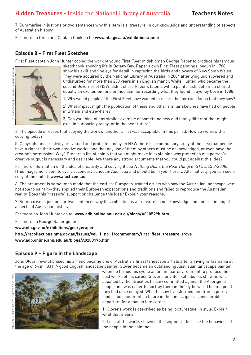7) Summarise in just one or two sentences why this item is a 'treasure' in our knowledge and understanding of aspects of Australian history.

For more on Omai and Captain Cook go to: **[www.nla.gov.au/exhibitions/omai](http://www.nla.gov.au/exhibitions/omai)**

### **Episode 8 – First Fleet Sketches**

First Fleet captain John Hunter copied the work of young First Fleet midshipman George Raper to produce his famous



sketchbook showing life in Botany Bay. Raper's own First Fleet paintings, begun in 1788, show his skill and fine eye for detail in capturing the birds and flowers of New South Wales. They were acquired by the National Library of Australia in 2004 after lying undiscovered and undisturbed for more than 200 years in an English manor. While Hunter, who became the second Governor of NSW, didn't share Raper's talents with a paintbrush, both men shared equally an excitement and enthusiasm for recording what they found in Sydney Cove in 1788.

1) Why would people of the First Fleet have wanted to record the flora and fauna that they saw?

2) What impact might the publication of these and other similar sketches have had on people in Britain and elsewhere?

3) Can you think of any similar example of something new and totally different that might exist in our society today, or in the near future?

4) The episode stresses that copying the work of another artist was acceptable in this period. How do we view this copying today?

5) Copyright and creativity are valued and protected today. In NSW there is a compulsory study of the idea that people have a right to their own creative works, and that any use of them by others must be acknowledged, or even have the creator's permission. Why? Prepare a list of points that you might make in explaining why protection of a person's creative output is necessary and desirable. Are there any strong arguments that you could put against this idea?

For more information on the idea of creativity and copyright see Nothing Beats the Real Thing! in STUDIES 2/2008. (This magazine is sent to every secondary school in Australia and should be in your library. Alternatively, you can see a copy of the unit at: **[www.afact.com.au](http://www.afact.com.au)**)

6) The argument is sometimes made that the earliest European-trained artists who saw the Australian landscape were not able to paint it—they applied their European expectations and traditions and failed to reproduce the Australian reality. Does this 'treasure' support or challenge this idea? Explain your reasons.

7) Summarise in just one or two sentences why this collection is a 'treasure' in our knowledge and understanding of aspects of Australian history.

For more on John Hunter go to: **[www.adb.online.anu.edu.au/biogs/A010529b.htm](http://www.adb.online.anu.edu.au/biogs/A010529b.htm)**

For more on George Raper go to:

**[www.nla.gov.au/exhibitions/georgeraper](http://www.nla.gov.au/exhibitions/georgeraper) [http://recollections.nma.gov.au/issues/vol\\_1\\_no\\_1/commentary/first\\_fleet\\_treasure\\_trove](http://recollections.nma.gov.au/issues/vol_1_no_1/commentary/first_fleet_treasure_trove) [www.adb.online.anu.edu.au/biogs/A020317b.htm](http://www.adb.online.anu.edu.au/biogs/A020317b.htm)**

### **Episode 9 – Figure in the Landscape**

John Glover revolutionised his art and became one of Australia's finest landscape artists after arriving in Tasmania at the age of 64 in 1831. A good English landscape painter, Glover became an outstanding Australian landscape painter





when he turned his eye to an unfamiliar environment to produce the best works of his career. Glover's private sketchbooks show he was appalled by the atrocities he saw committed against the Aboriginal people and was eager to portray them in the idyllic world he imagined they had once enjoyed. What he saw transformed him from a purely landscape painter into a figure in the landscape—a considerable departure for a man in late career.

1) Glover's work is described as being 'picturesque' in style. Explain what that means.

2) Look at the works shown in the segment. Describe the behaviour of the people in the paintings.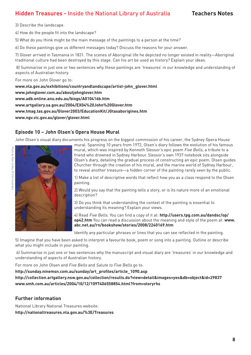3) Describe the landscape.

4) How do the people fit into the landscape?

5) What do you think might be the main message of the paintings to a person at the time?

6) Do these paintings give us different messages today? Discuss the reasons for your answer.

7) Glover arrived in Tasmania in 1831. The scenes of Aboriginal life he depicted no longer existed in reality—Aboriginal traditional culture had been destroyed by this stage. Can his art be used as history? Explain your ideas.

 8) Summarise in just one or two sentences why these paintings are 'treasures' in our knowledge and understanding of aspects of Australian history.

For more on John Glover go to:

**[www.nla.gov.au/exhibitions/countryandlandscape/artist-john\\_glover.html](http://www.nla.gov.au/exhibitions/countryandlandscape/artist-john_glover.html) [www.johnglover.com.au/aboutjohnglover.htm](http://www.johnglover.com.au/aboutjohnglover.htm) [www.adb.online.anu.edu.au/biogs/A010416b.htm](http://www.adb.online.anu.edu.au/biogs/A010416b.htm)  [www.artgallery.sa.gov.au/2004/EX04%20John%20Glover.htm](http://www.artgallery.sa.gov.au/2004/EX04%20John%20Glover.htm) [www.tmag.tas.gov.au/Glover2003/EducationKit/JGtasaborigines.htm](http://www.tmag.tas.gov.au/Glover2003/EducationKit/JGtasaborigines.htm) [www.ngv.vic.gov.au/glover/glover.html](http://www.ngv.vic.gov.au/glover/glover.html)**

### **Episode 10 – John Olsen's Opera House Mural**

John Olsen's visual diary documents his progress on the biggest commission of his career, the Sydney Opera House



mural. Spanning 10 years from 1972, Olsen's diary follows the evolution of his famous mural, which was inspired by Kenneth Slessor's epic poem Five Bells, a tribute to a friend who drowned in Sydney Harbour. Slessor's own 1937 notebook sits alongside Olsen's diary, detailing the gradual process of constructing an epic poem. Olsen guides Churcher through the creation of his mural, and the marine world of Sydney Harbour, to reveal another treasure—a hidden corner of the painting rarely seen by the public.

1) Make a list of descriptive words that reflect how you as a class respond to the Olsen painting.

2) Would you say that the painting tells a story, or is its nature more of an emotional description?

3) Do you think that understanding the context of the painting is essential to understanding its meaning? Explain your views.

4) Read Five Bells. You can find a copy of it at: **[http://users.tpg.com.au/dandsc/op/](http://users.tpg.com.au/dandsc/op/op42.htm) [op42.htm](http://users.tpg.com.au/dandsc/op/op42.htm)** You can read a discussion about the meaning and style of the poem at: **[www.](http://www.abc.net.au/rn/bookshow/stories/2008/2240169.htm) [abc.net.au/rn/bookshow/stories/2008/2240169.htm](http://www.abc.net.au/rn/bookshow/stories/2008/2240169.htm)**

Identify any particular phrases or lines that you can see reflected in the painting.

5) Imagine that you have been asked to interpret a favourite book, poem or song into a painting. Outline or describe what you might include in your painting.

 6) Summarise in just one or two sentences why the manuscript and visual diary are 'treasures' in our knowledge and understanding of aspects of Australian history.

For more on John Olsen and Five Bells and Salute to Five Bells go to:

**[http://sunday.ninemsn.com.au/sunday/art\\_profiles/article\\_1090.asp](http://sunday.ninemsn.com.au/sunday/art_profiles/article_1090.asp)**

**[http://collection.artgallery.nsw.gov.au/collection/results.do?view=detail&images=yes&db=object&id=29837](http://collection.artgallery.nsw.gov.au/collection/results.do?view=detail&images=yes&db=object&id=29) [www.smh.com.au/articles/2004/10/12/1097406558854.html?from=storyrhs](http://www.smh.com.au/articles/2004/10/12/1097406558854.html?from=storyrhs)**

### **Further information**

National Library National Treasures website: **<http://nationaltreasures.nla.gov.au/%3E/Treasures>**